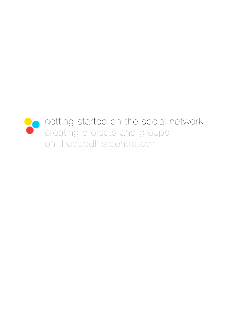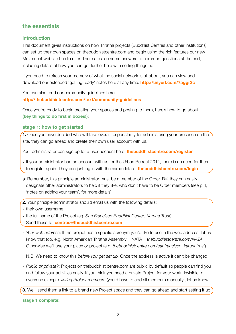# **the essentials**

## **introduction**

This document gives instructions on how Triratna projects (Buddhist Centres and other institutions) can set up their own spaces on thebuddhistcentre.com and begin using the rich features our new Movement website has to offer. There are also some answers to common questions at the end, including details of how you can get further help with setting things up.

If you need to refresh your memory of what the social network is all about, you can view and download our extended 'getting ready' notes here at any time: **<http://tinyurl.com/7aggr2c>**

You can also read our community guidelines here: **<http://thebuddhistcentre.com/text/community-guidelines>**

Once you're ready to begin creating your spaces and posting to them, here's how to go about it **(key things to do first in boxes!)**:

## **stage 1: how to get started**

**1.** Once you have decided who will take overall responsibility for administering your presence on the site, they can go ahead and create their own user account with us.

Your administrator can sign up for a user account here: **thebuddhistcentre.com/register**

- If your administrator had an account with us for the Urban Retreat 2011, there is no need for them to register again. They can just log in with the same details: **thebuddhistcentre.com/login**
- ★ Remember, this principle administrator must be a member of the Order. But they can easily designate other administrators to help if they like, who don't have to be Order members (see p.4, 'notes on adding your team', for more details).
- **2.** Your principle administrator should email us with the following details:
- their own username
- the full name of the Project (eg. *San Francisco Buddhist Center*, *Karuna Trust*) Send these to: **centres@thebuddhistcentre.com**
- *Your web address*: If the project has a specific acronym you'd like to use in the web address, let us know that too. e.g. North American Triratna Assembly = NATA = *thebuddhistcentre.com/NATA*. Otherwise we'll use your place or project (e.g. *thebuddhistcentre.com/sanfrancisco, karunatrust*).

N.B. We need to know this *before you get set up.* Once the address is active it can't be changed.

- *Public or private?*: Projects on thebuddhist centre.com are public by default so people can find you and follow your activities easily. If you think you need a private Project for your work, invisible to everyone except *existing Project members* (you'd have to add all members manually), let us know.

**3.** We'll send them a link to a brand new Project space and they can go ahead and start setting it up!

**stage 1 complete!**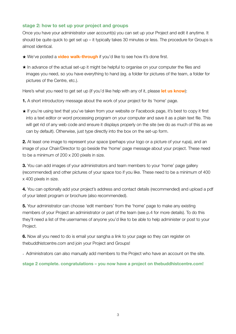## **stage 2: how to set up your project and groups**

Once you have your administrator user account(s) you can set up your Project and edit it anytime. It should be quite quick to get set up – it typically takes 30 minutes or less. The procedure for Groups is almost identical.

- **★ We've posted a [video walk-through](http://www.apple.com/)** if you'd like to see how it's done first.
- ★ In advance of the actual set-up it might be helpful to organise on your computer the files and images you need, so you have everything to hand (eg. a folder for pictures of the team, a folder for pictures of the Centre, etc.).

Here's what you need to get set up (if you'd like help with any of it, please **[let us know](mailto:support@thebuddhistcentre.com?subject=help)**):

- **1.** A short introductory message about the work of your project for its 'home' page.
- ★ If you're using text that you've taken from your website or Facebook page, it's best to copy it first into a text editor or word processing program on your computer and save it as a plain text file. This will get rid of any web code and ensure it displays properly on the site (we do as much of this as we can by default). Otherwise, just type directly into the box on the set-up form.

**2.** At least one image to represent your space (perhaps your logo or a picture of your rupa), and an image of your Chair/Director to go beside the 'home' page message about your project. These need to be a minimum of 200 x 200 pixels in size.

**3.** You can add images of your administrators and team members to your 'home' page gallery (recommended) and other pictures of your space too if you like. These need to be a minimum of 400 x 400 pixels in size.

**4.** You can optionally add your project's address and contact details (recommended) and upload a pdf of your latest program or brochure (also recommended).

**5.** Your administrator can choose 'edit members' from the 'home' page to make any existing members of your Project an administrator or part of the team (see p.4 for more details). To do this they'll need a list of the usernames of anyone you'd like to be able to help administer or post to your Project.

**6.** Now all you need to do is email your sangha a link to your page so they can register on thebuddhistcentre.com and join your Project and Groups!

- Administrators can also manually add members to the Project who have an account on the site.

#### **stage 2 complete. congratulations – you now have a project on thebuddhistcentre.com!**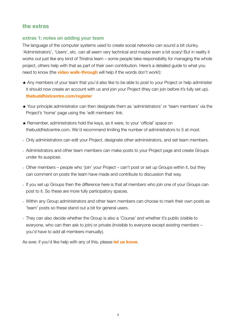## **the extras**

## **extras 1: notes on adding your team**

The language of the computer systems used to create social networks can sound a bit clunky. 'Administrators', 'Users', etc. can all seem very technical and maybe even a bit scary! But in reality it works out just like any kind of Triratna team – some people take responsibility for managing the whole project, others help with that as part of their own contribution. Here's a detailed guide to what you need to know (the **[video walk-through](http://www.apple.com/)** will help if the words don't work!):

- ★ Any members of your team that you'd also like to be able to post to your Project or help administer it should now create an account with us and join your Project (they can join before it's fully set up). **[thebuddhistcentre.com/register](http://thebuddhistcentre.com/register)**
- ★ Your principle administrator can then designate them as 'administrators' or 'team members' via the Project's 'home' page using the 'edit members' link.
- ★ Remember, administrators hold the keys, as it were, to your 'official' space on thebuddhistcentre.com. We'd recommend limiting the number of administrators to 5 at most.
- Only administrators can edit your Project, designate other administrators, and set team members.
- Administrators and other team members can make posts to your Project page and create Groups under its auspices.
- Other members people who 'join' your Project can't post or set up Groups within it, but they can comment on posts the team have made and contribute to discussion that way.
- If you set up Groups then the difference here is that *all members* who join one of your Groups can post to it. So these are more fully participatory spaces.
- Within any Group administrators and other team members can choose to mark their own posts as 'team' posts so these stand out a bit for general users.
- They can also decide whether the Group is also a 'Course' and whether it's public (visible to everyone, who can then ask to join) or private (invisible to everyone except *existing members* – you'd have to add all members manually).

As ever, if you'd like help with any of this, please **[let us know](mailto:support@thebuddhistcentre.com?subject=help)**.